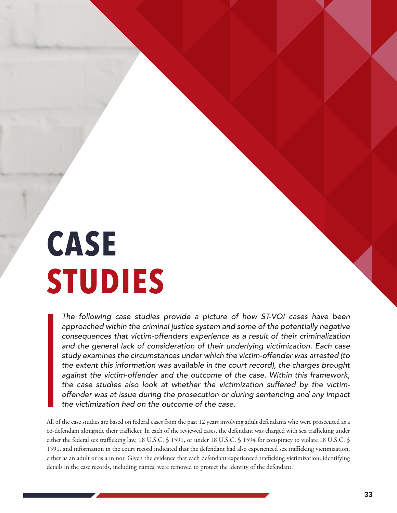# **CASE STUDIES**

The following case studies provide a picture of how ST-VOI cases have been approached within the criminal justice system and some of the potentially negative consequences that victim-offenders experience as a result of their criminalization and the general lack of consideration of their underlying victimization. Each case study examines the circumstances under which the victim-offender was arrested (to the extent this information was available in the court record), the charges brought against the victim-offender and the outcome of the case. Within this framework, the case studies also look at whether the victimization suffered by the victimoffender was at issue during the prosecution or during sentencing and any impact the victimization had on the outcome of the case.

All of the case studies are based on federal cases from the past 12 years involving adult defendants who were prosecuted as a co-defendant alongside their trafficker. In each of the reviewed cases, the defendant was charged with sex trafficking under either the federal sex trafficking law, 18 U.S.C. § 1591, or under 18 U.S.C. § 1594 for conspiracy to violate 18 U.S.C. § 1591, and information in the court record indicated that the defendant had also experienced sex trafficking victimization, either as an adult or as a minor. Given the evidence that each defendant experienced trafficking victimization, identifying details in the case records, including names, were removed to protect the identity of the defendant.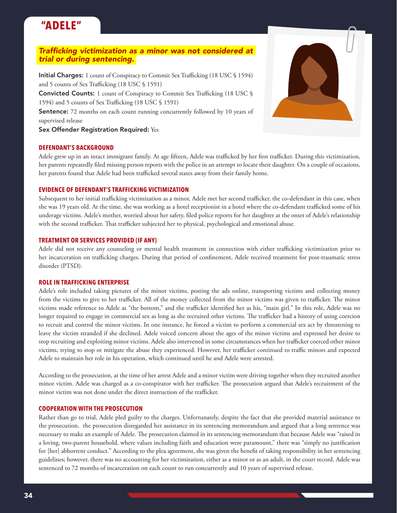### **"ADELE"**

#### Trafficking victimization as a minor was not considered at trial or during sentencing.

Initial Charges: 1 count of Conspiracy to Commit Sex Trafficking (18 USC § 1594) and 5 counts of Sex Trafficking (18 USC § 1591) Convicted Counts: 1 count of Conspiracy to Commit Sex Trafficking (18 USC § 1594) and 5 counts of Sex Trafficking (18 USC § 1591) Sentence: 72 months on each count running concurrently followed by 10 years of supervised release

Sex Offender Registration Required: Yes

#### **DEFENDANT'S BACKGROUND**

Adele grew up in an intact immigrant family. At age fifteen, Adele was trafficked by her first trafficker. During this victimization, her parents repeatedly filed missing person reports with the police in an attempt to locate their daughter. On a couple of occasions, her parents found that Adele had been trafficked several states away from their family home.

#### **EVIDENCE OF DEFENDANT'S TRAFFICKING VICTIMIZATION**

Subsequent to her initial trafficking victimization as a minor, Adele met her second trafficker, the co-defendant in this case, when she was 19 years old. At the time, she was working as a hotel receptionist in a hotel where the co-defendant trafficked some of his underage victims. Adele's mother, worried about her safety, filed police reports for her daughter at the onset of Adele's relationship with the second trafficker. That trafficker subjected her to physical, psychological and emotional abuse.

#### **TREATMENT OR SERVICES PROVIDED (IF ANY)**

Adele did not receive any counseling or mental health treatment in connection with either trafficking victimization prior to her incarceration on trafficking charges. During that period of confinement, Adele received treatment for post-traumatic stress disorder (PTSD).

#### **ROLE IN TRAFFICKING ENTERPRISE**

Adele's role included taking pictures of the minor victims, posting the ads online, transporting victims and collecting money from the victims to give to her trafficker. All of the money collected from the minor victims was given to trafficker. The minor victims made reference to Adele as "the bottom," and the trafficker identified her as his, "main girl." In this role, Adele was no longer required to engage in commercial sex as long as she recruited other victims. The trafficker had a history of using coercion to recruit and control the minor victims. In one instance, he forced a victim to perform a commercial sex act by threatening to leave the victim stranded if she declined. Adele voiced concern about the ages of the minor victims and expressed her desire to stop recruiting and exploiting minor victims. Adele also intervened in some circumstances when her trafficker coerced other minor victims, trying to stop or mitigate the abuse they experienced. However, her trafficker continued to traffic minors and expected Adele to maintain her role in his operation, which continued until he and Adele were arrested.

According to the prosecution, at the time of her arrest Adele and a minor victim were driving together when they recruited another minor victim. Adele was charged as a co-conspirator with her trafficker. The prosecution argued that Adele's recruitment of the minor victim was not done under the direct instruction of the trafficker.

#### **COOPERATION WITH THE PROSECUTION**

Rather than go to trial, Adele pled guilty to the charges. Unfortunately, despite the fact that she provided material assistance to the prosecution, the prosecution disregarded her assistance in its sentencing memorandum and argued that a long sentence was necessary to make an example of Adele. The prosecution claimed in its sentencing memorandum that because Adele was "raised in a loving, two-parent household, where values including faith and education were paramount," there was "simply no justification for [her] abhorrent conduct." According to the plea agreement, she was given the benefit of taking responsibility in her sentencing guidelines; however, there was no accounting for her victimization, either as a minor or as an adult, in the court record. Adele was sentenced to 72 months of incarceration on each count to run concurrently and 10 years of supervised release.

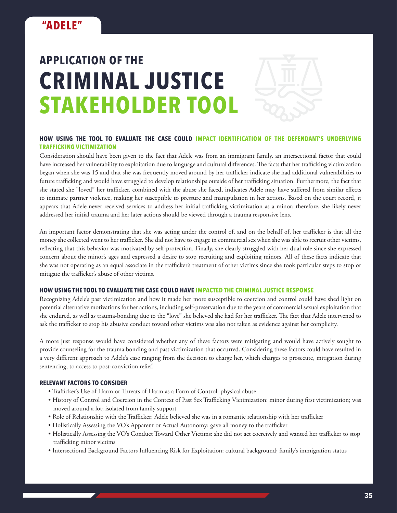

#### **HOW USING THE TOOL TO EVALUATE THE CASE COULD IMPACT IDENTIFICATION OF THE DEFENDANT'S UNDERLYING TRAFFICKING VICTIMIZATION**

Consideration should have been given to the fact that Adele was from an immigrant family, an intersectional factor that could have increased her vulnerability to exploitation due to language and cultural differences. The facts that her trafficking victimization began when she was 15 and that she was frequently moved around by her trafficker indicate she had additional vulnerabilities to future trafficking and would have struggled to develop relationships outside of her trafficking situation. Furthermore, the fact that she stated she "loved" her trafficker, combined with the abuse she faced, indicates Adele may have suffered from similar effects to intimate partner violence, making her susceptible to pressure and manipulation in her actions. Based on the court record, it appears that Adele never received services to address her initial trafficking victimization as a minor; therefore, she likely never addressed her initial trauma and her later actions should be viewed through a trauma responsive lens.

An important factor demonstrating that she was acting under the control of, and on the behalf of, her trafficker is that all the money she collected went to her trafficker. She did not have to engage in commercial sex when she was able to recruit other victims, reflecting that this behavior was motivated by self-protection. Finally, she clearly struggled with her dual role since she expressed concern about the minor's ages and expressed a desire to stop recruiting and exploiting minors. All of these facts indicate that she was not operating as an equal associate in the trafficker's treatment of other victims since she took particular steps to stop or mitigate the trafficker's abuse of other victims.

#### **HOW USING THE TOOL TO EVALUATE THE CASE COULD HAVE IMPACTED THE CRIMINAL JUSTICE RESPONSE**

Recognizing Adele's past victimization and how it made her more susceptible to coercion and control could have shed light on potential alternative motivations for her actions, including self-preservation due to the years of commercial sexual exploitation that she endured, as well as trauma-bonding due to the "love" she believed she had for her trafficker. The fact that Adele intervened to ask the trafficker to stop his abusive conduct toward other victims was also not taken as evidence against her complicity.

A more just response would have considered whether any of these factors were mitigating and would have actively sought to provide counseling for the trauma bonding and past victimization that occurred. Considering these factors could have resulted in a very different approach to Adele's case ranging from the decision to charge her, which charges to prosecute, mitigation during sentencing, to access to post-conviction relief.

- Trafficker's Use of Harm or Threats of Harm as a Form of Control: physical abuse
- History of Control and Coercion in the Context of Past Sex Trafficking Victimization: minor during first victimization; was moved around a lot; isolated from family support
- Role of Relationship with the Trafficker: Adele believed she was in a romantic relationship with her trafficker
- Holistically Assessing the VO's Apparent or Actual Autonomy: gave all money to the trafficker
- Holistically Assessing the VO's Conduct Toward Other Victims: she did not act coercively and wanted her trafficker to stop trafficking minor victims
- Intersectional Background Factors Influencing Risk for Exploitation: cultural background; family's immigration status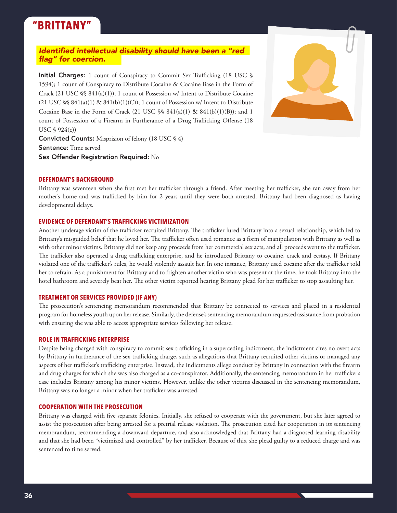### **"BRITTANY"**

#### Identified intellectual disability should have been a "red flag" for coercion.

Initial Charges: 1 count of Conspiracy to Commit Sex Trafficking (18 USC § 1594); 1 count of Conspiracy to Distribute Cocaine & Cocaine Base in the Form of Crack (21 USC §§ 841(a)(1)); 1 count of Possession w/ Intent to Distribute Cocaine (21 USC  $\S$ § 841(a)(1) & 841(b)(1)(C)); 1 count of Possession w/ Intent to Distribute Cocaine Base in the Form of Crack (21 USC  $\$  841(a)(1) & 841(b)(1)(B)); and 1 count of Possession of a Firearm in Furtherance of a Drug Trafficking Offense (18 USC § 924(c))

Convicted Counts: Misprision of felony (18 USC § 4) Sentence: Time served Sex Offender Registration Required: No



#### **DEFENDANT'S BACKGROUND**

Brittany was seventeen when she first met her trafficker through a friend. After meeting her trafficker, she ran away from her mother's home and was trafficked by him for 2 years until they were both arrested. Brittany had been diagnosed as having developmental delays.

#### **EVIDENCE OF DEFENDANT'S TRAFFICKING VICTIMIZATION**

Another underage victim of the trafficker recruited Brittany. The trafficker lured Brittany into a sexual relationship, which led to Brittany's misguided belief that he loved her. The trafficker often used romance as a form of manipulation with Brittany as well as with other minor victims. Brittany did not keep any proceeds from her commercial sex acts, and all proceeds went to the trafficker. The trafficker also operated a drug trafficking enterprise, and he introduced Brittany to cocaine, crack and ecstasy. If Brittany violated one of the trafficker's rules, he would violently assault her. In one instance, Brittany used cocaine after the trafficker told her to refrain. As a punishment for Brittany and to frighten another victim who was present at the time, he took Brittany into the hotel bathroom and severely beat her. The other victim reported hearing Brittany plead for her trafficker to stop assaulting her.

#### **TREATMENT OR SERVICES PROVIDED (IF ANY)**

The prosecution's sentencing memorandum recommended that Brittany be connected to services and placed in a residential program for homeless youth upon her release. Similarly, the defense's sentencing memorandum requested assistance from probation with ensuring she was able to access appropriate services following her release.

#### **ROLE IN TRAFFICKING ENTERPRISE**

Despite being charged with conspiracy to commit sex trafficking in a superceding indictment, the indictment cites no overt acts by Brittany in furtherance of the sex trafficking charge, such as allegations that Brittany recruited other victims or managed any aspects of her trafficker's trafficking enterprise. Instead, the indictments allege conduct by Brittany in connection with the firearm and drug charges for which she was also charged as a co-conspirator. Additionally, the sentencing memorandum in her trafficker's case includes Brittany among his minor victims. However, unlike the other victims discussed in the sentencing memorandum, Brittany was no longer a minor when her trafficker was arrested.

#### **COOPERATION WITH THE PROSECUTION**

Brittany was charged with five separate felonies. Initially, she refused to cooperate with the government, but she later agreed to assist the prosecution after being arrested for a pretrial release violation. The prosecution cited her cooperation in its sentencing memorandum, recommending a downward departure, and also acknowledged that Brittany had a diagnosed learning disability and that she had been "victimized and controlled" by her trafficker. Because of this, she plead guilty to a reduced charge and was sentenced to time served.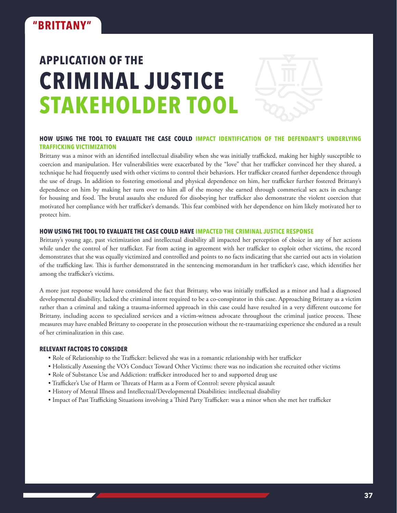

#### **HOW USING THE TOOL TO EVALUATE THE CASE COULD IMPACT IDENTIFICATION OF THE DEFENDANT'S UNDERLYING TRAFFICKING VICTIMIZATION**

Brittany was a minor with an identified intellectual disability when she was initially trafficked, making her highly susceptible to coercion and manipulation. Her vulnerabilities were exacerbated by the "love" that her trafficker convinced her they shared, a technique he had frequently used with other victims to control their behaviors. Her trafficker created further dependence through the use of drugs. In addition to fostering emotional and physical dependence on him, her trafficker further fostered Brittany's dependence on him by making her turn over to him all of the money she earned through commerical sex acts in exchange for housing and food. The brutal assaults she endured for disobeying her trafficker also demonstrate the violent coercion that motivated her compliance with her trafficker's demands. This fear combined with her dependence on him likely motivated her to protect him.

#### **HOW USING THE TOOL TO EVALUATE THE CASE COULD HAVE IMPACTED THE CRIMINAL JUSTICE RESPONSE**

Brittany's young age, past victimization and intellectual disability all impacted her perception of choice in any of her actions while under the control of her trafficker. Far from acting in agreement with her trafficker to exploit other victims, the record demonstrates that she was equally victimized and controlled and points to no facts indicating that she carried out acts in violation of the trafficking law. This is further demonstrated in the sentencing memorandum in her trafficker's case, which identifies her among the trafficker's victims.

A more just response would have considered the fact that Brittany, who was initially trafficked as a minor and had a diagnosed developmental disability, lacked the criminal intent required to be a co-conspirator in this case. Approaching Brittany as a victim rather than a criminal and taking a trauma-informed approach in this case could have resulted in a very different outcome for Brittany, including access to specialized services and a victim-witness advocate throughout the criminal justice process. These measures may have enabled Brittany to cooperate in the prosecution without the re-traumatizing experience she endured as a result of her criminalization in this case.

- Role of Relationship to the Trafficker: believed she was in a romantic relationship with her trafficker
- Holistically Assessing the VO's Conduct Toward Other Victims: there was no indication she recruited other victims
- Role of Substance Use and Addiction: trafficker introduced her to and supported drug use
- Trafficker's Use of Harm or Threats of Harm as a Form of Control: severe physical assault
- History of Mental Illness and Intellectual/Developmental Disabilities: intellectual disability
- Impact of Past Trafficking Situations involving a Third Party Trafficker: was a minor when she met her trafficker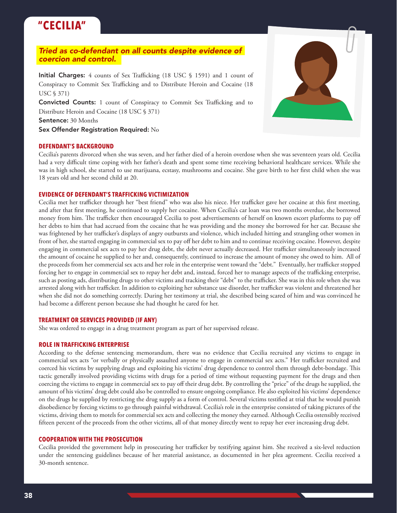### **"CECILIA"**

#### *Tried as co-defendant on all counts despite evidence of coercion and control.*

Initial Charges: 4 counts of Sex Trafficking (18 USC § 1591) and 1 count of Conspiracy to Commit Sex Trafficking and to Distribute Heroin and Cocaine (18 USC § 371)

Convicted Counts: 1 count of Conspiracy to Commit Sex Trafficking and to Distribute Heroin and Cocaine (18 USC § 371)

Sentence: 30 Months

Sex Offender Registration Required: No

#### **DEFENDANT'S BACKGROUND**

Cecilia's parents divorced when she was seven, and her father died of a heroin overdose when she was seventeen years old. Cecilia had a very difficult time coping with her father's death and spent some time receiving behavioral healthcare services. While she was in high school, she started to use marijuana, ecstasy, mushrooms and cocaine. She gave birth to her first child when she was 18 years old and her second child at 20.

#### **EVIDENCE OF DEFENDANT'S TRAFFICKING VICTIMIZATION**

Cecilia met her trafficker through her "best friend" who was also his niece. Her trafficker gave her cocaine at this first meeting, and after that first meeting, he continued to supply her cocaine. When Cecilia's car loan was two months overdue, she borrowed money from him. The trafficker then encouraged Cecilia to post advertisements of herself on known escort platforms to pay off her debts to him that had accrued from the cocaine that he was providing and the money she borrowed for her car. Because she was frightened by her trafficker's displays of angry outbursts and violence, which included hitting and strangling other women in front of her, she started engaging in commercial sex to pay off her debt to him and to continue receiving cocaine. However, despite engaging in commercial sex acts to pay her drug debt, the debt never actually decreased. Her trafficker simultaneously increased the amount of cocaine he supplied to her and, consequently, continued to increase the amount of money she owed to him. All of the proceeds from her commercial sex acts and her role in the enterprise went toward the "debt." Eventually, her trafficker stopped forcing her to engage in commercial sex to repay her debt and, instead, forced her to manage aspects of the trafficking enterprise, such as posting ads, distributing drugs to other victims and tracking their "debt" to the trafficker. She was in this role when she was arrested along with her trafficker. In addition to exploiting her substance use disorder, her trafficker was violent and threatened her when she did not do something correctly. During her testimony at trial, she described being scared of him and was convinced he had become a different person because she had thought he cared for her.

#### **TREATMENT OR SERVICES PROVIDED (IF ANY)**

She was ordered to engage in a drug treatment program as part of her supervised release.

#### **ROLE IN TRAFFICKING ENTERPRISE**

According to the defense sentencing memorandum, there was no evidence that Cecilia recruited any victims to engage in commercial sex acts "or verbally or physically assaulted anyone to engage in commercial sex acts." Her trafficker recruited and coerced his victims by supplying drugs and exploiting his victims' drug dependence to control them through debt-bondage. This tactic generally involved providing victims with drugs for a period of time without requesting payment for the drugs and then coercing the victims to engage in commercial sex to pay off their drug debt. By controlling the "price" of the drugs he supplied, the amount of his victims' drug debt could also be controlled to ensure ongoing compliance. He also exploited his victims' dependence on the drugs he supplied by restricting the drug supply as a form of control. Several victims testified at trial that he would punish disobedience by forcing victims to go through painful withdrawal. Cecilia's role in the enterprise consisted of taking pictures of the victims, driving them to motels for commercial sex acts and collecting the money they earned. Although Cecilia ostensibly received fifteen percent of the proceeds from the other victims, all of that money directly went to repay her ever increasing drug debt.

#### **COOPERATION WITH THE PROSECUTION**

Cecilia provided the government help in prosecuting her trafficker by testifying against him. She received a six-level reduction under the sentencing guidelines because of her material assistance, as documented in her plea agreement. Cecilia received a 30-month sentence.

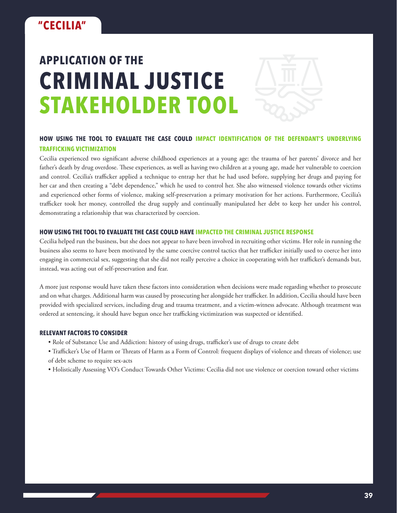

#### **HOW USING THE TOOL TO EVALUATE THE CASE COULD IMPACT IDENTIFICATION OF THE DEFENDANT'S UNDERLYING TRAFFICKING VICTIMIZATION**

Cecilia experienced two significant adverse childhood experiences at a young age: the trauma of her parents' divorce and her father's death by drug overdose. These experiences, as well as having two children at a young age, made her vulnerable to coercion and control. Cecilia's trafficker applied a technique to entrap her that he had used before, supplying her drugs and paying for her car and then creating a "debt dependence," which he used to control her. She also witnessed violence towards other victims and experienced other forms of violence, making self-preservation a primary motivation for her actions. Furthermore, Cecilia's trafficker took her money, controlled the drug supply and continually manipulated her debt to keep her under his control, demonstrating a relationship that was characterized by coercion.

#### **HOW USING THE TOOL TO EVALUATE THE CASE COULD HAVE IMPACTED THE CRIMINAL JUSTICE RESPONSE**

Cecilia helped run the business, but she does not appear to have been involved in recruiting other victims. Her role in running the business also seems to have been motivated by the same coercive control tactics that her trafficker initially used to coerce her into engaging in commercial sex, suggesting that she did not really perceive a choice in cooperating with her trafficker's demands but, instead, was acting out of self-preservation and fear.

A more just response would have taken these factors into consideration when decisions were made regarding whether to prosecute and on what charges. Additional harm was caused by prosecuting her alongside her trafficker. In addition, Cecilia should have been provided with specialized services, including drug and trauma treatment, and a victim-witness advocate. Although treatment was ordered at sentencing, it should have begun once her trafficking victimization was suspected or identified.

- Role of Substance Use and Addiction: history of using drugs, trafficker's use of drugs to create debt
- Trafficker's Use of Harm or Threats of Harm as a Form of Control: frequent displays of violence and threats of violence; use of debt scheme to require sex-acts
- Holistically Assessing VO's Conduct Towards Other Victims: Cecilia did not use violence or coercion toward other victims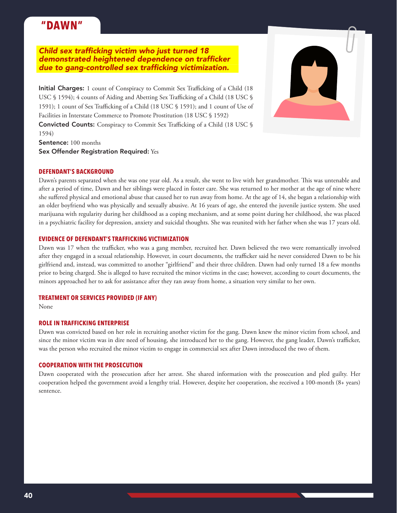### **"DAWN"**

Child sex trafficking victim who just turned 18 demonstrated heightened dependence on trafficker due to gang-controlled sex trafficking victimization.

Initial Charges: 1 count of Conspiracy to Commit Sex Trafficking of a Child (18 USC § 1594); 4 counts of Aiding and Abetting Sex Trafficking of a Child (18 USC § 1591); 1 count of Sex Trafficking of a Child (18 USC § 1591); and 1 count of Use of Facilities in Interstate Commerce to Promote Prostitution (18 USC § 1592) Convicted Counts: Conspiracy to Commit Sex Trafficking of a Child (18 USC § 1594)



#### **DEFENDANT'S BACKGROUND**

Dawn's parents separated when she was one year old. As a result, she went to live with her grandmother. This was untenable and after a period of time, Dawn and her siblings were placed in foster care. She was returned to her mother at the age of nine where she suffered physical and emotional abuse that caused her to run away from home. At the age of 14, she began a relationship with an older boyfriend who was physically and sexually abusive. At 16 years of age, she entered the juvenile justice system. She used marijuana with regularity during her childhood as a coping mechanism, and at some point during her childhood, she was placed in a psychiatric facility for depression, anxiety and suicidal thoughts. She was reunited with her father when she was 17 years old.

#### **EVIDENCE OF DEFENDANT'S TRAFFICKING VICTIMIZATION**

Dawn was 17 when the trafficker, who was a gang member, recruited her. Dawn believed the two were romantically involved after they engaged in a sexual relationship. However, in court documents, the trafficker said he never considered Dawn to be his girlfriend and, instead, was committed to another "girlfriend" and their three children. Dawn had only turned 18 a few months prior to being charged. She is alleged to have recruited the minor victims in the case; however, according to court documents, the minors approached her to ask for assistance after they ran away from home, a situation very similar to her own.

#### **TREATMENT OR SERVICES PROVIDED (IF ANY)**

None

#### **ROLE IN TRAFFICKING ENTERPRISE**

Dawn was convicted based on her role in recruiting another victim for the gang. Dawn knew the minor victim from school, and since the minor victim was in dire need of housing, she introduced her to the gang. However, the gang leader, Dawn's trafficker, was the person who recruited the minor victim to engage in commercial sex after Dawn introduced the two of them.

#### **COOPERATION WITH THE PROSECUTION**

Dawn cooperated with the prosecution after her arrest. She shared information with the prosecution and pled guilty. Her cooperation helped the government avoid a lengthy trial. However, despite her cooperation, she received a 100-month (8+ years) sentence.

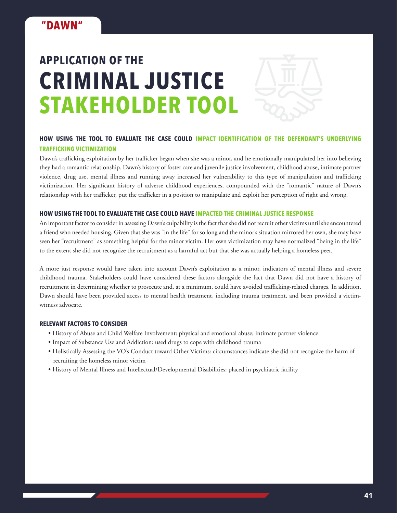

#### **HOW USING THE TOOL TO EVALUATE THE CASE COULD IMPACT IDENTIFICATION OF THE DEFENDANT'S UNDERLYING TRAFFICKING VICTIMIZATION**

Dawn's trafficking exploitation by her trafficker began when she was a minor, and he emotionally manipulated her into believing they had a romantic relationship. Dawn's history of foster care and juvenile justice involvement, childhood abuse, intimate partner violence, drug use, mental illness and running away increased her vulnerability to this type of manipulation and trafficking victimization. Her significant history of adverse childhood experiences, compounded with the "romantic" nature of Dawn's relationship with her trafficker, put the trafficker in a position to manipulate and exploit her perception of right and wrong.

#### **HOW USING THE TOOL TO EVALUATE THE CASE COULD HAVE IMPACTED THE CRIMINAL JUSTICE RESPONSE**

An important factor to consider in assessing Dawn's culpability is the fact that she did not recruit other victims until she encountered a friend who needed housing. Given that she was "in the life" for so long and the minor's situation mirrored her own, she may have seen her "recruitment" as something helpful for the minor victim. Her own victimization may have normalized "being in the life" to the extent she did not recognize the recruitment as a harmful act but that she was actually helping a homeless peer.

A more just response would have taken into account Dawn's exploitation as a minor, indicators of mental illness and severe childhood trauma. Stakeholders could have considered these factors alongside the fact that Dawn did not have a history of recruitment in determining whether to prosecute and, at a minimum, could have avoided trafficking-related charges. In addition, Dawn should have been provided access to mental health treatment, including trauma treatment, and been provided a victimwitness advocate.

- History of Abuse and Child Welfare Involvement: physical and emotional abuse; intimate partner violence
- Impact of Substance Use and Addiction: used drugs to cope with childhood trauma
- Holistically Assessing the VO's Conduct toward Other Victims: circumstances indicate she did not recognize the harm of recruiting the homeless minor victim
- History of Mental Illness and Intellectual/Developmental Disabilities: placed in psychiatric facility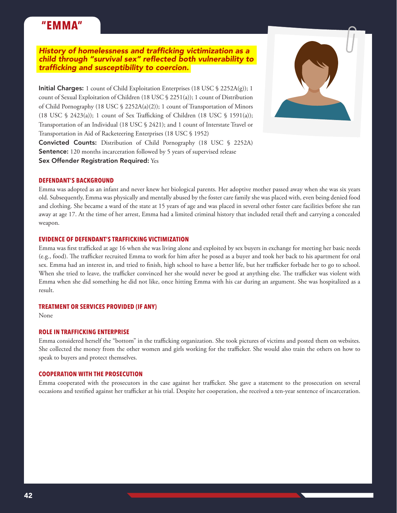### **"EMMA"**

#### History of homelessness and trafficking victimization as a child through "survival sex" reflected both vulnerability to trafficking and susceptibility to coercion.

**Initial Charges:** 1 count of Child Exploitation Enterprises (18 USC  $\$$  2252A(g)); 1 count of Sexual Exploitation of Children (18 USC § 2251(a)); 1 count of Distribution of Child Pornography (18 USC § 2252A(a)(2)); 1 count of Transportation of Minors (18 USC § 2423(a)); 1 count of Sex Trafficking of Children (18 USC § 1591(a)); Transportation of an Individual (18 USC § 2421); and 1 count of Interstate Travel or Transportation in Aid of Racketeering Enterprises (18 USC § 1952)





#### **DEFENDANT'S BACKGROUND**

Emma was adopted as an infant and never knew her biological parents. Her adoptive mother passed away when she was six years old. Subsequently, Emma was physically and mentally abused by the foster care family she was placed with, even being denied food and clothing. She became a ward of the state at 15 years of age and was placed in several other foster care facilities before she ran away at age 17. At the time of her arrest, Emma had a limited criminal history that included retail theft and carrying a concealed weapon.

#### **EVIDENCE OF DEFENDANT'S TRAFFICKING VICTIMIZATION**

Emma was first trafficked at age 16 when she was living alone and exploited by sex buyers in exchange for meeting her basic needs (e.g., food). The trafficker recruited Emma to work for him after he posed as a buyer and took her back to his apartment for oral sex. Emma had an interest in, and tried to finish, high school to have a better life, but her trafficker forbade her to go to school. When she tried to leave, the trafficker convinced her she would never be good at anything else. The trafficker was violent with Emma when she did something he did not like, once hitting Emma with his car during an argument. She was hospitalized as a result.

#### **TREATMENT OR SERVICES PROVIDED (IF ANY)**

None

#### **ROLE IN TRAFFICKING ENTERPRISE**

Emma considered herself the "bottom" in the trafficking organization. She took pictures of victims and posted them on websites. She collected the money from the other women and girls working for the trafficker. She would also train the others on how to speak to buyers and protect themselves.

#### **COOPERATION WITH THE PROSECUTION**

Emma cooperated with the prosecutors in the case against her trafficker. She gave a statement to the prosecution on several occasions and testified against her trafficker at his trial. Despite her cooperation, she received a ten-year sentence of incarceration.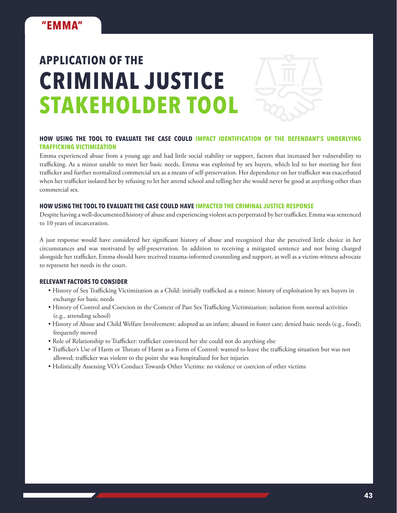

#### **HOW USING THE TOOL TO EVALUATE THE CASE COULD IMPACT IDENTIFICATION OF THE DEFENDANT'S UNDERLYING TRAFFICKING VICTIMIZATION**

Emma experienced abuse from a young age and had little social stability or support, factors that increased her vulnerability to trafficking. As a minor unable to meet her basic needs, Emma was exploited by sex buyers, which led to her meeting her first trafficker and further normalized commercial sex as a means of self-preservation. Her dependence on her trafficker was exacerbated when her trafficker isolated her by refusing to let her attend school and telling her she would never be good at anything other than commercial sex.

#### **HOW USING THE TOOL TO EVALUATE THE CASE COULD HAVE IMPACTED THE CRIMINAL JUSTICE RESPONSE**

Despite having a well-documented history of abuse and experiencing violent acts perpetrated by her trafficker, Emma was sentenced to 10 years of incarceration.

A just response would have considered her significant history of abuse and recognized that she perceived little choice in her circumstances and was motivated by self-preservation. In addition to receiving a mitigated sentence and not being charged alongside her trafficker, Emma should have received trauma-informed counseling and support, as well as a victim-witness advocate to represent her needs in the court.

- History of Sex Trafficking Victimization as a Child: initially trafficked as a minor; history of exploitation by sex buyers in exchange for basic needs
- History of Control and Coercion in the Context of Past Sex Trafficking Victimization: isolation from normal activities (e.g., attending school)
- History of Abuse and Child Welfare Involvement: adopted as an infant; abused in foster care; denied basic needs (e.g., food); frequently moved
- Role of Relationship to Trafficker: trafficker convinced her she could not do anything else
- Trafficker's Use of Harm or Threats of Harm as a Form of Control: wanted to leave the trafficking situation but was not allowed; trafficker was violent to the point she was hospitalized for her injuries
- Holistically Assessing VO's Conduct Towards Other Victims: no violence or coercion of other victims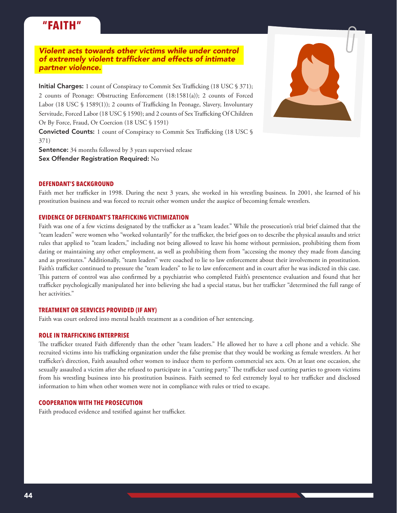### **"FAITH"**

*Violent acts towards other victims while under control*  of extremely violent trafficker and effects of intimate *partner violence.*

Initial Charges: 1 count of Conspiracy to Commit Sex Trafficking (18 USC § 371); 2 counts of Peonage: Obstructing Enforcement (18:1581(a)); 2 counts of Forced Labor (18 USC § 1589(1)); 2 counts of Trafficking In Peonage, Slavery, Involuntary Servitude, Forced Labor (18 USC § 1590); and 2 counts of Sex Trafficking Of Children Or By Force, Fraud, Or Coercion (18 USC § 1591)

Convicted Counts: 1 count of Conspiracy to Commit Sex Trafficking (18 USC § 371)

Sentence: 34 months followed by 3 years supervised release Sex Offender Registration Required: No

#### **DEFENDANT'S BACKGROUND**

Faith met her trafficker in 1998. During the next 3 years, she worked in his wrestling business. In 2001, she learned of his prostitution business and was forced to recruit other women under the auspice of becoming female wrestlers.

#### **EVIDENCE OF DEFENDANT'S TRAFFICKING VICTIMIZATION**

Faith was one of a few victims designated by the trafficker as a "team leader." While the prosecution's trial brief claimed that the "team leaders" were women who "worked voluntarily" for the trafficker, the brief goes on to describe the physical assaults and strict rules that applied to "team leaders," including not being allowed to leave his home without permission, prohibiting them from dating or maintaining any other employment, as well as prohibiting them from "accessing the money they made from dancing and as prostitutes." Additionally, "team leaders" were coached to lie to law enforcement about their involvement in prostitution. Faith's trafficker continued to pressure the "team leaders" to lie to law enforcement and in court after he was indicted in this case. This pattern of control was also confirmed by a psychiatrist who completed Faith's presentence evaluation and found that her trafficker psychologically manipulated her into believing she had a special status, but her trafficker "determined the full range of her activities."

#### **TREATMENT OR SERVICES PROVIDED (IF ANY)**

Faith was court ordered into mental health treatment as a condition of her sentencing.

#### **ROLE IN TRAFFICKING ENTERPRISE**

The trafficker treated Faith differently than the other "team leaders." He allowed her to have a cell phone and a vehicle. She recruited victims into his trafficking organization under the false premise that they would be working as female wrestlers. At her trafficker's direction, Faith assaulted other women to induce them to perform commercial sex acts. On at least one occasion, she sexually assaulted a victim after she refused to participate in a "cutting party." The trafficker used cutting parties to groom victims from his wrestling business into his prostitution business. Faith seemed to feel extremely loyal to her trafficker and disclosed information to him when other women were not in compliance with rules or tried to escape.

#### **COOPERATION WITH THE PROSECUTION**

Faith produced evidence and testified against her trafficker.